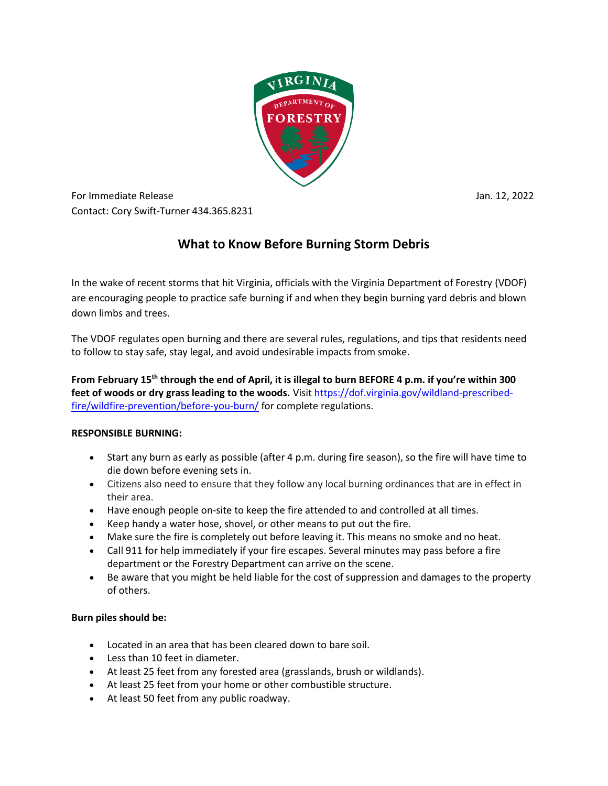

For Immediate Release Jan. 12, 2022 Contact: Cory Swift-Turner 434.365.8231

# **What to Know Before Burning Storm Debris**

In the wake of recent storms that hit Virginia, officials with the Virginia Department of Forestry (VDOF) are encouraging people to practice safe burning if and when they begin burning yard debris and blown down limbs and trees.

The VDOF regulates open burning and there are several rules, regulations, and tips that residents need to follow to stay safe, stay legal, and avoid undesirable impacts from smoke.

**From February 15th through the end of April, it is illegal to burn BEFORE 4 p.m. if you're within 300**  feet of woods or dry grass leading to the woods. Visi[t https://dof.virginia.gov/wildland-prescribed](https://dof.virginia.gov/wildland-prescribed-fire/wildfire-prevention/before-you-burn/)[fire/wildfire-prevention/before-you-burn/](https://dof.virginia.gov/wildland-prescribed-fire/wildfire-prevention/before-you-burn/) for complete regulations.

## **RESPONSIBLE BURNING:**

- Start any burn as early as possible (after 4 p.m. during fire season), so the fire will have time to die down before evening sets in.
- Citizens also need to ensure that they follow any local burning ordinances that are in effect in their area.
- Have enough people on-site to keep the fire attended to and controlled at all times.
- Keep handy a water hose, shovel, or other means to put out the fire.
- Make sure the fire is completely out before leaving it. This means no smoke and no heat.
- Call 911 for help immediately if your fire escapes. Several minutes may pass before a fire department or the Forestry Department can arrive on the scene.
- Be aware that you might be held liable for the cost of suppression and damages to the property of others.

# **Burn piles should be:**

- Located in an area that has been cleared down to bare soil.
- Less than 10 feet in diameter.
- At least 25 feet from any forested area (grasslands, brush or wildlands).
- At least 25 feet from your home or other combustible structure.
- At least 50 feet from any public roadway.